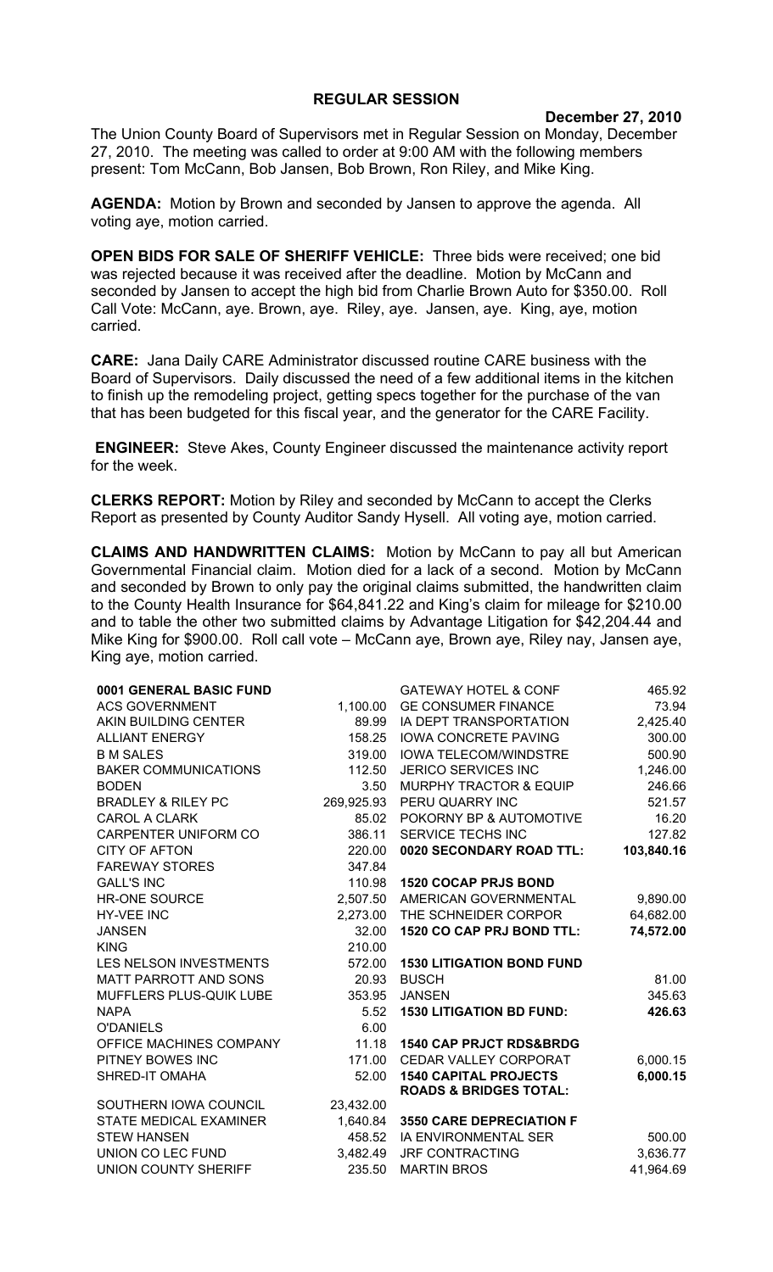## **REGULAR SESSION**

**December 27, 2010**

The Union County Board of Supervisors met in Regular Session on Monday, December 27, 2010. The meeting was called to order at 9:00 AM with the following members present: Tom McCann, Bob Jansen, Bob Brown, Ron Riley, and Mike King.

**AGENDA:** Motion by Brown and seconded by Jansen to approve the agenda. All voting aye, motion carried.

**OPEN BIDS FOR SALE OF SHERIFF VEHICLE:** Three bids were received; one bid was rejected because it was received after the deadline. Motion by McCann and seconded by Jansen to accept the high bid from Charlie Brown Auto for \$350.00. Roll Call Vote: McCann, aye. Brown, aye. Riley, aye. Jansen, aye. King, aye, motion carried.

**CARE:** Jana Daily CARE Administrator discussed routine CARE business with the Board of Supervisors. Daily discussed the need of a few additional items in the kitchen to finish up the remodeling project, getting specs together for the purchase of the van that has been budgeted for this fiscal year, and the generator for the CARE Facility.

**ENGINEER:** Steve Akes, County Engineer discussed the maintenance activity report for the week.

**CLERKS REPORT:** Motion by Riley and seconded by McCann to accept the Clerks Report as presented by County Auditor Sandy Hysell. All voting aye, motion carried.

**CLAIMS AND HANDWRITTEN CLAIMS:** Motion by McCann to pay all but American Governmental Financial claim. Motion died for a lack of a second. Motion by McCann and seconded by Brown to only pay the original claims submitted, the handwritten claim to the County Health Insurance for \$64,841.22 and King's claim for mileage for \$210.00 and to table the other two submitted claims by Advantage Litigation for \$42,204.44 and Mike King for \$900.00. Roll call vote – McCann aye, Brown aye, Riley nay, Jansen aye, King aye, motion carried.

| 0001 GENERAL BASIC FUND       |            | <b>GATEWAY HOTEL &amp; CONF</b>    | 465.92     |
|-------------------------------|------------|------------------------------------|------------|
| <b>ACS GOVERNMENT</b>         | 1,100.00   | <b>GE CONSUMER FINANCE</b>         | 73.94      |
| AKIN BUILDING CENTER          | 89.99      | IA DEPT TRANSPORTATION             | 2,425.40   |
| <b>ALLIANT ENERGY</b>         |            | 158.25 IOWA CONCRETE PAVING        | 300.00     |
| <b>B M SALES</b>              | 319.00     | <b>IOWA TELECOM/WINDSTRE</b>       | 500.90     |
| <b>BAKER COMMUNICATIONS</b>   | 112.50     | JERICO SERVICES INC                | 1,246.00   |
| <b>BODEN</b>                  | 3.50       | <b>MURPHY TRACTOR &amp; EQUIP</b>  | 246.66     |
| <b>BRADLEY &amp; RILEY PC</b> | 269,925.93 | PERU QUARRY INC                    | 521.57     |
| <b>CAROL A CLARK</b>          | 85.02      | POKORNY BP & AUTOMOTIVE            | 16.20      |
| CARPENTER UNIFORM CO          | 386.11     | SERVICE TECHS INC                  | 127.82     |
| <b>CITY OF AFTON</b>          | 220.00     | 0020 SECONDARY ROAD TTL:           | 103,840.16 |
| <b>FAREWAY STORES</b>         | 347.84     |                                    |            |
| <b>GALL'S INC</b>             | 110.98     | <b>1520 COCAP PRJS BOND</b>        |            |
| <b>HR-ONE SOURCE</b>          |            | 2,507.50 AMERICAN GOVERNMENTAL     | 9,890.00   |
| <b>HY-VEE INC</b>             |            | 2,273.00 THE SCHNEIDER CORPOR      | 64,682.00  |
| <b>JANSEN</b>                 | 32.00      | 1520 CO CAP PRJ BOND TTL:          | 74,572.00  |
| <b>KING</b>                   | 210.00     |                                    |            |
| LES NELSON INVESTMENTS        | 572.00     | <b>1530 LITIGATION BOND FUND</b>   |            |
| MATT PARROTT AND SONS         | 20.93      | <b>BUSCH</b>                       | 81.00      |
| MUFFLERS PLUS-QUIK LUBE       | 353.95     | <b>JANSEN</b>                      | 345.63     |
| <b>NAPA</b>                   | 5.52       | <b>1530 LITIGATION BD FUND:</b>    | 426.63     |
| <b>O'DANIELS</b>              | 6.00       |                                    |            |
| OFFICE MACHINES COMPANY       | 11.18      | <b>1540 CAP PRJCT RDS&amp;BRDG</b> |            |
| PITNEY BOWES INC              | 171.00     | CEDAR VALLEY CORPORAT              | 6,000.15   |
| SHRED-IT OMAHA                | 52.00      | <b>1540 CAPITAL PROJECTS</b>       | 6,000.15   |
|                               |            | <b>ROADS &amp; BRIDGES TOTAL:</b>  |            |
| SOUTHERN IOWA COUNCIL         | 23,432.00  |                                    |            |
| <b>STATE MEDICAL EXAMINER</b> |            | 1,640.84 3550 CARE DEPRECIATION F  |            |
| <b>STEW HANSEN</b>            |            | 458.52 IA ENVIRONMENTAL SER        | 500.00     |
| UNION CO LEC FUND             |            | 3,482.49 JRF CONTRACTING           | 3,636.77   |
| UNION COUNTY SHERIFF          | 235.50     | <b>MARTIN BROS</b>                 | 41,964.69  |